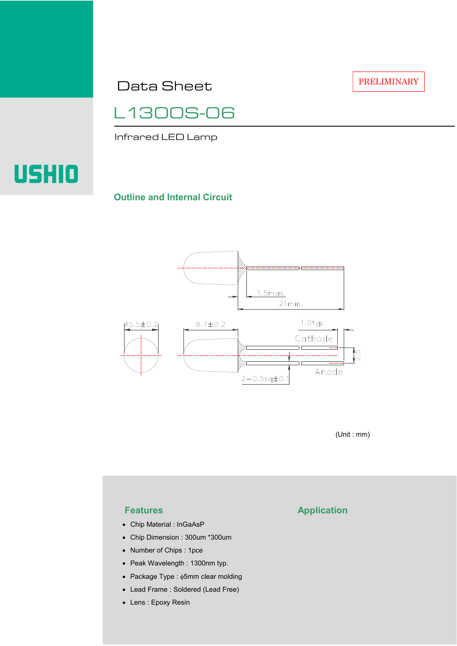Data Sheet

L1300S-06

Infrared LED Lamp

# **USHIO**

#### **Outline and Internal Circuit**



(Unit : mm)

- Chip Material : InGaAsP
- Chip Dimension : 300um \*300um
- Number of Chips : 1pce
- Peak Wavelength : 1300nm typ.
- Package Type : φ5mm clear molding
- Lead Frame : Soldered (Lead Free)
- Lens : Epoxy Resin

# **Features Application**

PRELIMINARY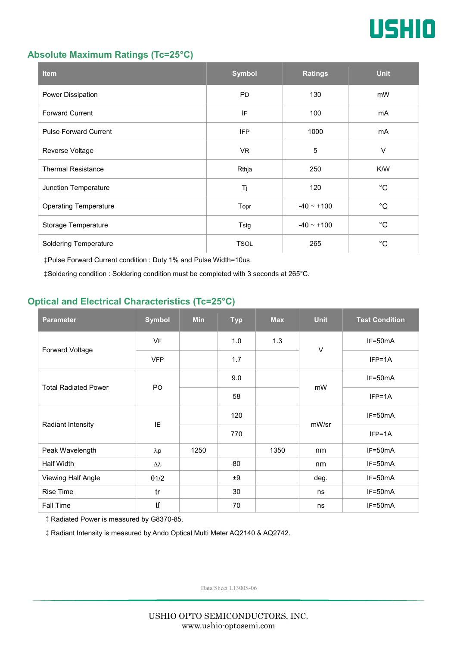

### **Absolute Maximum Ratings (Tc=25°C)**

| <b>Item</b>                  | <b>Symbol</b> | <b>Ratings</b>  | <b>Unit</b> |
|------------------------------|---------------|-----------------|-------------|
| Power Dissipation            | <b>PD</b>     | 130             | mW          |
| <b>Forward Current</b>       | IF            | 100             | mA          |
| <b>Pulse Forward Current</b> | <b>IFP</b>    | 1000            | mA          |
| Reverse Voltage              | VR.           | $\overline{5}$  | $\vee$      |
| <b>Thermal Resistance</b>    | Rthja         | 250             | K/W         |
| Junction Temperature         | Tj            | 120             | $^{\circ}C$ |
| <b>Operating Temperature</b> | Topr          | $-40 \sim +100$ | $^{\circ}C$ |
| Storage Temperature          | Tstg          | $-40 - +100$    | $^{\circ}C$ |
| <b>Soldering Temperature</b> | <b>TSOL</b>   | 265             | $^{\circ}C$ |

‡Pulse Forward Current condition : Duty 1% and Pulse Width=10us.

‡Soldering condition : Soldering condition must be completed with 3 seconds at 265°C.

## **Optical and Electrical Characteristics (Tc=25°C)**

| <b>Parameter</b>            | <b>Symbol</b>    | <b>Min</b> | <b>Typ</b> | <b>Max</b> | <b>Unit</b> | <b>Test Condition</b> |
|-----------------------------|------------------|------------|------------|------------|-------------|-----------------------|
| Forward Voltage             | <b>VF</b>        |            | 1.0        | 1.3        | $\vee$      | IF=50mA               |
|                             | <b>VFP</b>       |            | 1.7        |            |             | $IFP=1A$              |
| <b>Total Radiated Power</b> | P <sub>O</sub>   |            | 9.0        |            | mW          | $IF=50mA$             |
|                             |                  |            | 58         |            |             | $IFP=1A$              |
| Radiant Intensity           | IE               |            | 120        |            | mW/sr       | $IF=50mA$             |
|                             |                  |            | 770        |            |             | $IFP=1A$              |
| Peak Wavelength             | $\lambda$ p      | 1250       |            | 1350       | nm          | $IF=50mA$             |
| <b>Half Width</b>           | $\Delta \lambda$ |            | 80         |            | nm          | $IF=50mA$             |
| Viewing Half Angle          | $\theta$ 1/2     |            | ±9         |            | deg.        | $IF=50mA$             |
| <b>Rise Time</b>            | tr               |            | 30         |            | ns          | $IF=50mA$             |
| Fall Time                   | tf               |            | 70         |            | ns          | $IF=50mA$             |

‡Radiated Power is measured by G8370-85.

‡Radiant Intensity is measured by Ando Optical Multi Meter AQ2140 & AQ2742.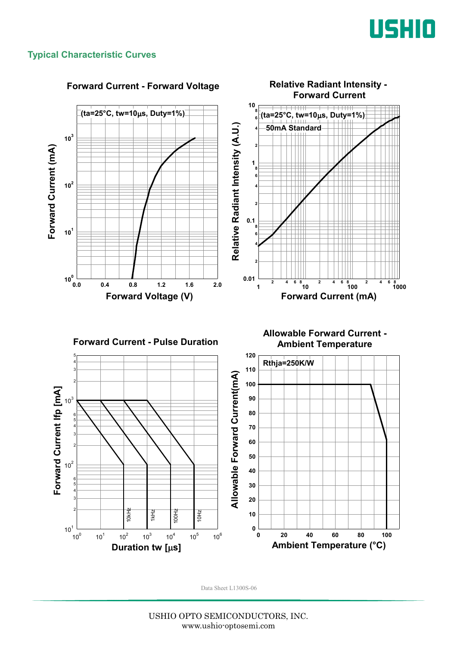

### **Typical Characteristic Curves**



#### **Forward Current - Forward Voltage**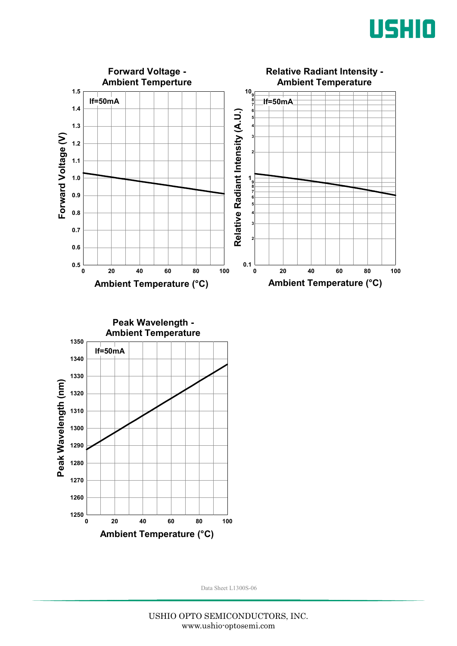



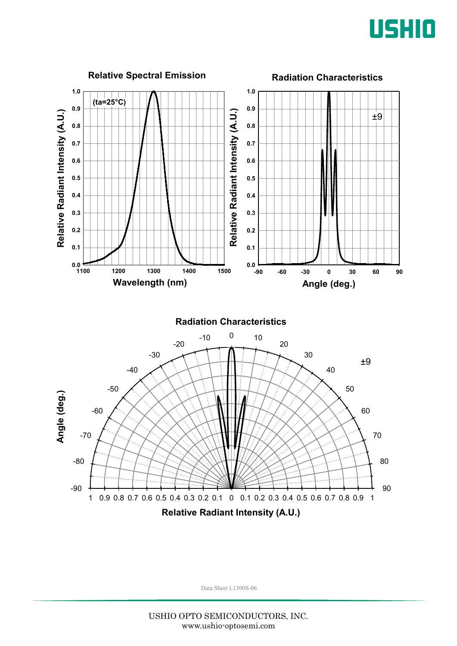